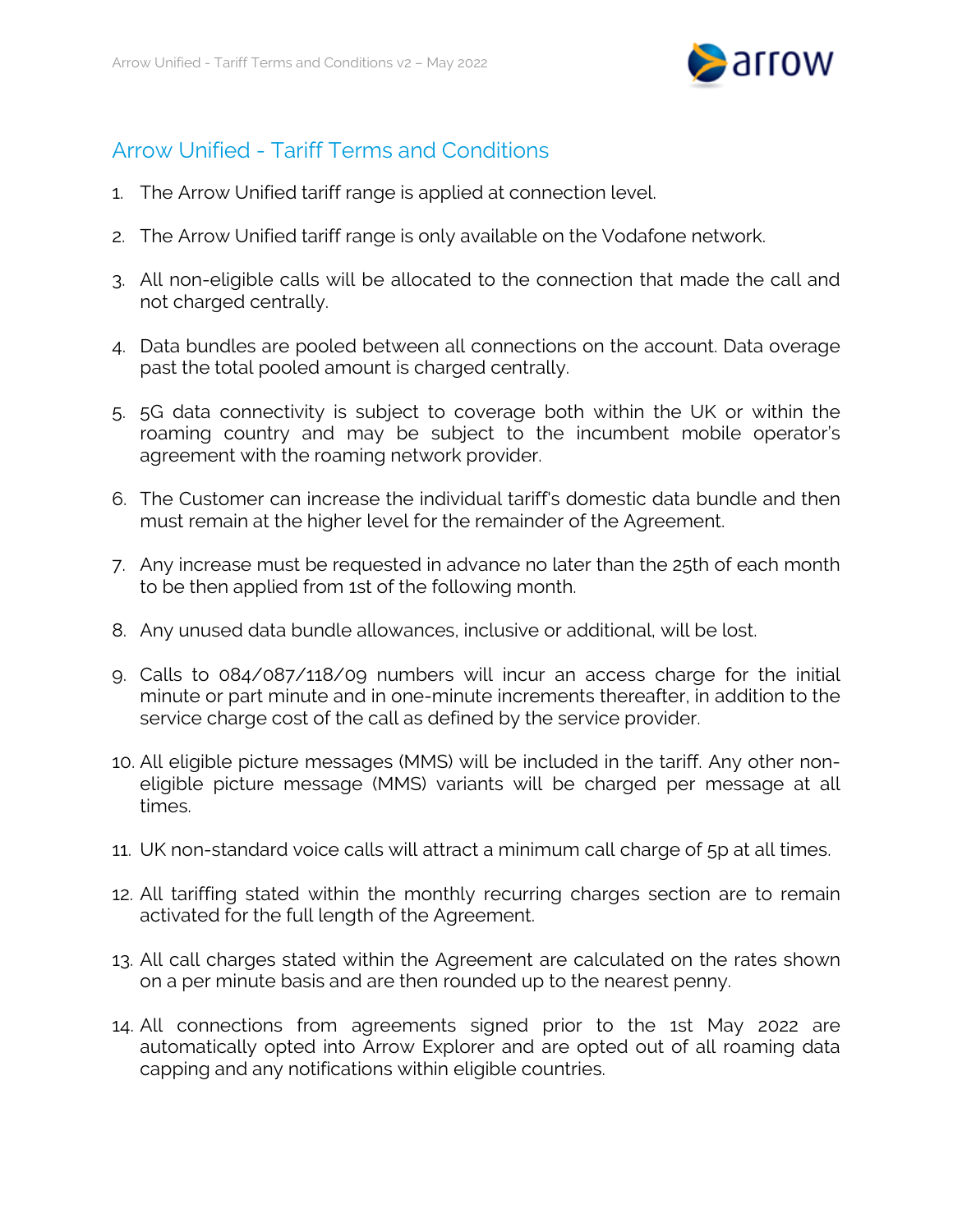

## Arrow Unified - Tariff Terms and Conditions

- 1. The Arrow Unified tariff range is applied at connection level.
- 2. The Arrow Unified tariff range is only available on the Vodafone network.
- 3. All non-eligible calls will be allocated to the connection that made the call and not charged centrally.
- 4. Data bundles are pooled between all connections on the account. Data overage past the total pooled amount is charged centrally.
- 5. 5G data connectivity is subject to coverage both within the UK or within the roaming country and may be subject to the incumbent mobile operator's agreement with the roaming network provider.
- 6. The Customer can increase the individual tariff's domestic data bundle and then must remain at the higher level for the remainder of the Agreement.
- 7. Any increase must be requested in advance no later than the 25th of each month to be then applied from 1st of the following month.
- 8. Any unused data bundle allowances, inclusive or additional, will be lost.
- 9. Calls to 084/087/118/09 numbers will incur an access charge for the initial minute or part minute and in one-minute increments thereafter, in addition to the service charge cost of the call as defined by the service provider.
- 10. All eligible picture messages (MMS) will be included in the tariff. Any other noneligible picture message (MMS) variants will be charged per message at all times.
- 11. UK non-standard voice calls will attract a minimum call charge of 5p at all times.
- 12. All tariffing stated within the monthly recurring charges section are to remain activated for the full length of the Agreement.
- 13. All call charges stated within the Agreement are calculated on the rates shown on a per minute basis and are then rounded up to the nearest penny.
- 14. All connections from agreements signed prior to the 1st May 2022 are automatically opted into Arrow Explorer and are opted out of all roaming data capping and any notifications within eligible countries.